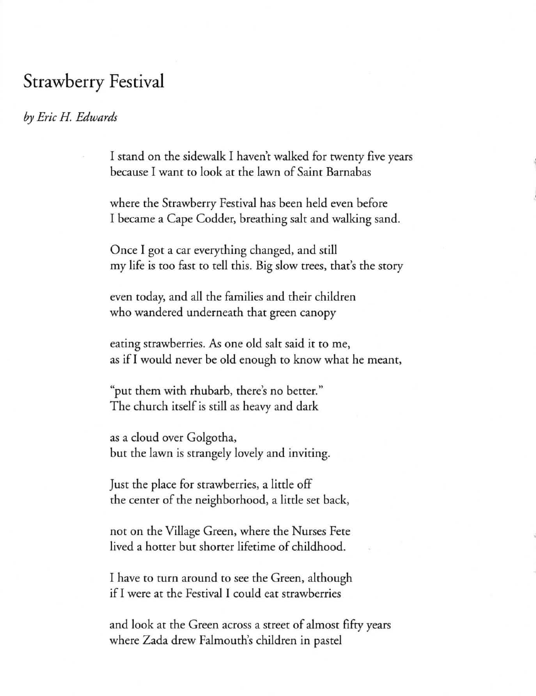## Strawberry Festival

## *by Eric H Edwards*

I stand on the sidewalk I haven't walked for twenty five years because I want to look at the lawn of Saint Barnabas

where the Strawberry Festival has been held even before I became a Cape Codder, breathing salt and walking sand.

Once I got a car everything changed, and still my life is too fast to tell this. Big slow trees, that's the story

even today, and all the families and their children who wandered underneath that green canopy

eating strawberries. As one old salt said it to me, as if I would never be old enough to know what he meant,

"put them with rhubarb, there's no better." The church itself is still as heavy and dark

as a cloud over Golgotha, but the lawn is strangely lovely and inviting.

Just the place for strawberries, a little off the center of the neighborhood, a little set back,

not on the Village Green, where the Nurses Fete lived a hotter but shorter lifetime of childhood.

I have to turn around to see the Green, although if I were at the Festival I could eat strawberries

and look at the Green across a street of almost fifty years where Zada drew Falmouth's children in pastel